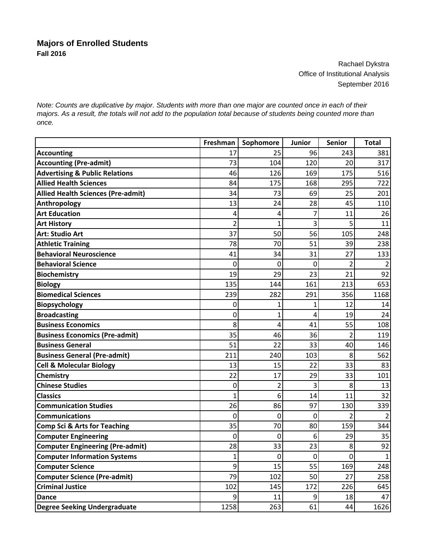## **Majors of Enrolled Students Fall 2016**

Rachael Dykstra Office of Institutional Analysis September 2016

*Note: Counts are duplicative by major. Students with more than one major are counted once in each of their majors. As a result, the totals will not add to the population total because of students being counted more than once.*

|                                           | Freshman       | Sophomore    | Junior      | <b>Senior</b>  | <b>Total</b>   |
|-------------------------------------------|----------------|--------------|-------------|----------------|----------------|
| <b>Accounting</b>                         | 17             | 25           | 96          | 243            | 381            |
| <b>Accounting (Pre-admit)</b>             | 73             | 104          | 120         | 20             | 317            |
| <b>Advertising &amp; Public Relations</b> | 46             | 126          | 169         | 175            | 516            |
| <b>Allied Health Sciences</b>             | 84             | 175          | 168         | 295            | 722            |
| <b>Allied Health Sciences (Pre-admit)</b> | 34             | 73           | 69          | 25             | 201            |
| Anthropology                              | 13             | 24           | 28          | 45             | 110            |
| <b>Art Education</b>                      | 4              | 4            | 7           | 11             | 26             |
| <b>Art History</b>                        | 2              | $\mathbf{1}$ | 3           | 5              | 11             |
| <b>Art: Studio Art</b>                    | 37             | 50           | 56          | 105            | 248            |
| <b>Athletic Training</b>                  | 78             | 70           | 51          | 39             | 238            |
| <b>Behavioral Neuroscience</b>            | 41             | 34           | 31          | 27             | 133            |
| <b>Behavioral Science</b>                 | 0              | 0            | $\mathbf 0$ | $\overline{2}$ | $\overline{2}$ |
| <b>Biochemistry</b>                       | 19             | 29           | 23          | 21             | 92             |
| <b>Biology</b>                            | 135            | 144          | 161         | 213            | 653            |
| <b>Biomedical Sciences</b>                | 239            | 282          | 291         | 356            | 1168           |
| Biopsychology                             | 0              | 1            | 1           | 12             | 14             |
| <b>Broadcasting</b>                       | 0              | 1            | 4           | 19             | 24             |
| <b>Business Economics</b>                 | 8              | 4            | 41          | 55             | 108            |
| <b>Business Economics (Pre-admit)</b>     | 35             | 46           | 36          | $\overline{2}$ | 119            |
| <b>Business General</b>                   | 51             | 22           | 33          | 40             | 146            |
| <b>Business General (Pre-admit)</b>       | 211            | 240          | 103         | 8              | 562            |
| <b>Cell &amp; Molecular Biology</b>       | 13             | 15           | 22          | 33             | 83             |
| Chemistry                                 | 22             | 17           | 29          | 33             | 101            |
| <b>Chinese Studies</b>                    | 0              | 2            | 3           | 8              | 13             |
| <b>Classics</b>                           | 1              | 6            | 14          | 11             | 32             |
| <b>Communication Studies</b>              | 26             | 86           | 97          | 130            | 339            |
| <b>Communications</b>                     | 0              | 0            | 0           | 2              | $\overline{2}$ |
| <b>Comp Sci &amp; Arts for Teaching</b>   | 35             | 70           | 80          | 159            | 344            |
| <b>Computer Engineering</b>               | $\overline{0}$ | $\mathbf{0}$ | 6           | 29             | 35             |
| <b>Computer Engineering (Pre-admit)</b>   | 28             | 33           | 23          | 8              | 92             |
| <b>Computer Information Systems</b>       | $\mathbf{1}$   | $\pmb{0}$    | $\mathbf 0$ | $\mathbf 0$    | $\mathbf 1$    |
| <b>Computer Science</b>                   | 9              | 15           | 55          | 169            | 248            |
| <b>Computer Science (Pre-admit)</b>       | 79             | 102          | 50          | 27             | 258            |
| <b>Criminal Justice</b>                   | 102            | 145          | 172         | 226            | 645            |
| <b>Dance</b>                              | 9              | 11           | 9           | 18             | 47             |
| <b>Degree Seeking Undergraduate</b>       | 1258           | 263          | 61          | 44             | 1626           |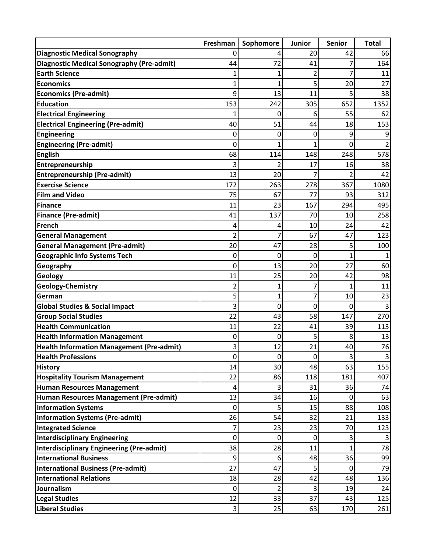|                                                  | Freshman       | Sophomore      | Junior      | <b>Senior</b>  | <b>Total</b> |
|--------------------------------------------------|----------------|----------------|-------------|----------------|--------------|
| <b>Diagnostic Medical Sonography</b>             | 0              |                | 20          | 42             | 66           |
| <b>Diagnostic Medical Sonography (Pre-admit)</b> | 44             | 72             | 41          | 7              | 164          |
| <b>Earth Science</b>                             |                |                | 2           | 7              | 11           |
| <b>Economics</b>                                 |                | 1              | 5           | 20             | 27           |
| <b>Economics (Pre-admit)</b>                     | 9              | 13             | 11          | 5              | 38           |
| <b>Education</b>                                 | 153            | 242            | 305         | 652            | 1352         |
| <b>Electrical Engineering</b>                    |                | 0              | 6           | 55             | 62           |
| <b>Electrical Engineering (Pre-admit)</b>        | 40             | 51             | 44          | 18             | 153          |
| <b>Engineering</b>                               | 0              | 0              | 0           | 9              |              |
| <b>Engineering (Pre-admit)</b>                   | 0              |                |             | $\mathbf{0}$   |              |
| <b>English</b>                                   | 68             | 114            | 148         | 248            | 578          |
| Entrepreneurship                                 | 3              |                | 17          | 16             | 38           |
| <b>Entrepreneurship (Pre-admit)</b>              | 13             | 20             |             | 2              | 42           |
| <b>Exercise Science</b>                          | 172            | 263            | 278         | 367            | 1080         |
| <b>Film and Video</b>                            | 75             | 67             | 77          | 93             | 312          |
| Finance                                          | 11             | 23             | 167         | 294            | 495          |
| <b>Finance (Pre-admit)</b>                       | 41             | 137            | 70          | 10             | 258          |
| French                                           | 4              | 4              | 10          | 24             | 42           |
| <b>General Management</b>                        | 2              |                | 67          | 47             | 123          |
| <b>General Management (Pre-admit)</b>            | 20             | 47             | 28          | 5              | 100          |
| <b>Geographic Info Systems Tech</b>              | 0              | 0              | 0           | 1              |              |
| Geography                                        | 0              | 13             | 20          | 27             | 60           |
| Geology                                          | 11             | 25             | 20          | 42             | 98           |
| Geology-Chemistry                                | 2              | 1              |             | 1              | 11           |
| German                                           | 5              | 1              |             | 10             | 23           |
| <b>Global Studies &amp; Social Impact</b>        | 3              | 0              | 0           | 0              |              |
| <b>Group Social Studies</b>                      | 22             | 43             | 58          | 147            | 270          |
| <b>Health Communication</b>                      | 11             | 22             | 41          | 39             | 113          |
| <b>Health Information Management</b>             | 0              | 0              | 5           | 8              | 13           |
| <b>Health Information Management (Pre-admit)</b> | $\overline{3}$ | 12             | 21          | 40             | 76           |
| <b>Health Professions</b>                        | $\mathbf 0$    | $\mathbf 0$    | $\mathbf 0$ | 3              | 3            |
| <b>History</b>                                   | 14             | 30             | 48          | 63             | 155          |
| <b>Hospitality Tourism Management</b>            | 22             | 86             | 118         | 181            | 407          |
| <b>Human Resources Management</b>                | 4              | 3              | 31          | 36             | 74           |
| Human Resources Management (Pre-admit)           | 13             | 34             | 16          | $\mathbf 0$    | 63           |
| <b>Information Systems</b>                       | $\mathbf 0$    | 5              | 15          | 88             | 108          |
| <b>Information Systems (Pre-admit)</b>           | 26             | 54             | 32          | 21             | 133          |
| <b>Integrated Science</b>                        | 7              | 23             | 23          | 70             | 123          |
| <b>Interdisciplinary Engineering</b>             | 0              | $\mathbf 0$    | $\mathbf 0$ | 3              | 3            |
| Interdisciplinary Engineering (Pre-admit)        | 38             | 28             | 11          | $\overline{1}$ | 78           |
| <b>International Business</b>                    | 9              | 6              | 48          | 36             | 99           |
| <b>International Business (Pre-admit)</b>        | 27             | 47             | 5           | $\mathbf 0$    | 79           |
| <b>International Relations</b>                   | 18             | 28             | 42          | 48             | 136          |
| Journalism                                       | 0              | $\overline{2}$ | 3           | 19             | 24           |
| <b>Legal Studies</b>                             | 12             | 33             | 37          | 43             | 125          |
| <b>Liberal Studies</b>                           | 3              | 25             | 63          | 170            | 261          |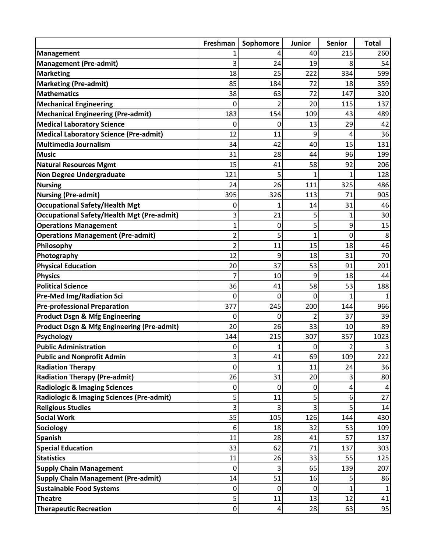|                                                       | Freshman         | Sophomore      | Junior         | Senior           | <b>Total</b>   |
|-------------------------------------------------------|------------------|----------------|----------------|------------------|----------------|
| <b>Management</b>                                     |                  | 4              | 40             | 215              | 260            |
| <b>Management (Pre-admit)</b>                         | 3                | 24             | 19             | 8                | 54             |
| <b>Marketing</b>                                      | 18               | 25             | 222            | 334              | 599            |
| <b>Marketing (Pre-admit)</b>                          | 85               | 184            | 72             | 18               | 359            |
| <b>Mathematics</b>                                    | 38               | 63             | 72             | 147              | 320            |
| <b>Mechanical Engineering</b>                         | 0                | $\overline{2}$ | 20             | 115              | 137            |
| <b>Mechanical Engineering (Pre-admit)</b>             | 183              | 154            | 109            | 43               | 489            |
| <b>Medical Laboratory Science</b>                     | 0                | 0              | 13             | 29               | 42             |
| <b>Medical Laboratory Science (Pre-admit)</b>         | 12               | 11             | 9              | 4                | 36             |
| Multimedia Journalism                                 | 34               | 42             | 40             | 15               | 131            |
| <b>Music</b>                                          | 31               | 28             | 44             | 96               | 199            |
| <b>Natural Resources Mgmt</b>                         | 15               | 41             | 58             | 92               | 206            |
| <b>Non Degree Undergraduate</b>                       | 121              | 5              | 1              | 1                | 128            |
| <b>Nursing</b>                                        | 24               | 26             | 111            | 325              | 486            |
| <b>Nursing (Pre-admit)</b>                            | 395              | 326            | 113            | 71               | 905            |
| <b>Occupational Safety/Health Mgt</b>                 | 0                | 1              | 14             | 31               | 46             |
| <b>Occupational Safety/Health Mgt (Pre-admit)</b>     | 3                | 21             | 5              | $\mathbf{1}$     | 30             |
| <b>Operations Management</b>                          | 1                | 0              | 5              | 9                | 15             |
| <b>Operations Management (Pre-admit)</b>              | $\overline{c}$   | 5              | $\mathbf{1}$   | $\mathbf 0$      | 8              |
| Philosophy                                            | $\overline{2}$   | 11             | 15             | 18               | 46             |
| Photography                                           | 12               | 9              | 18             | 31               | 70             |
| <b>Physical Education</b>                             | 20               | 37             | 53             | 91               | 201            |
| <b>Physics</b>                                        | 7                | 10             | 9              | 18               | 44             |
| <b>Political Science</b>                              | 36               | 41             | 58             | 53               | 188            |
| <b>Pre-Med Img/Radiation Sci</b>                      | 0                | 0              | $\mathbf 0$    | 1                |                |
| <b>Pre-professional Preparation</b>                   | 377              | 245            | 200            | 144              | 966            |
| <b>Product Dsgn &amp; Mfg Engineering</b>             | 0                | 0              | $\overline{2}$ | 37               | 39             |
| <b>Product Dsgn &amp; Mfg Engineering (Pre-admit)</b> | 20               | 26             | 33             | 10               | 89             |
| <b>Psychology</b>                                     | 144              | 215            | 307            | 357              | 1023           |
| <b>Public Administration</b>                          | 0                | 1              | 0              | 2                | 3              |
| <b>Public and Nonprofit Admin</b>                     | 3                | 41             | 69             | 109              | 222            |
| <b>Radiation Therapy</b>                              | 0                | 1              | 11             | 24               | 36             |
| <b>Radiation Therapy (Pre-admit)</b>                  | 26               | 31             | 20             | 3                | 80             |
| <b>Radiologic &amp; Imaging Sciences</b>              | 0                | 0              | $\mathbf 0$    | $\pmb{4}$        | $\overline{4}$ |
| Radiologic & Imaging Sciences (Pre-admit)             | 5                | 11             | 5              | $\boldsymbol{6}$ | 27             |
| <b>Religious Studies</b>                              | 3                | 3              | 3              | 5                | 14             |
| <b>Social Work</b>                                    | 55               | 105            | 126            | 144              | 430            |
| <b>Sociology</b>                                      | 6                | 18             | 32             | 53               | 109            |
| <b>Spanish</b>                                        | 11               | 28             | 41             | 57               | 137            |
| <b>Special Education</b>                              | 33               | 62             | 71             | 137              | 303            |
| <b>Statistics</b>                                     | 11               | 26             | 33             | 55               | 125            |
| <b>Supply Chain Management</b>                        | 0                | 3              | 65             | 139              | 207            |
| <b>Supply Chain Management (Pre-admit)</b>            | 14               | 51             | 16             | 5                | 86             |
| <b>Sustainable Food Systems</b>                       | 0                | $\mathbf 0$    | $\mathbf 0$    | $\mathbf{1}$     | $\mathbf{1}$   |
| <b>Theatre</b>                                        | 5                | 11             | 13             | 12               | 41             |
| <b>Therapeutic Recreation</b>                         | $\boldsymbol{0}$ | $\pmb{4}$      | 28             | 63               | 95             |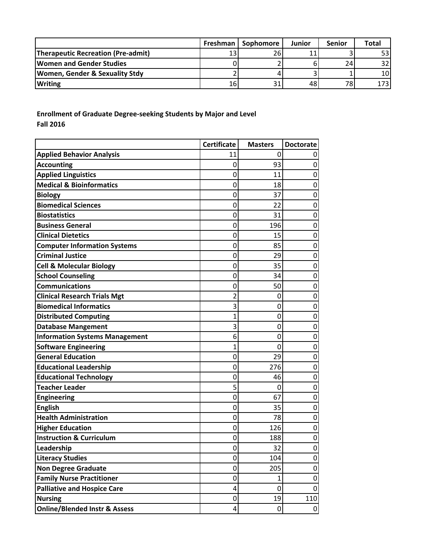|                                           | Freshman | Sophomore | <b>Junior</b> | <b>Senior</b> | <b>Total</b>    |
|-------------------------------------------|----------|-----------|---------------|---------------|-----------------|
| <b>Therapeutic Recreation (Pre-admit)</b> |          | 26        | 11            |               | 53 I            |
| <b>Women and Gender Studies</b>           |          |           |               | 24            | 32              |
| <b>Women, Gender &amp; Sexuality Stdy</b> |          |           |               |               | 10 <sup>1</sup> |
| <b>Writing</b>                            | 161      |           | 48            | 78            | 1731            |

**Enrollment of Graduate Degree‐seeking Students by Major and Level Fall 2016**

|                                          | <b>Certificate</b> | <b>Masters</b>   | <b>Doctorate</b> |
|------------------------------------------|--------------------|------------------|------------------|
| <b>Applied Behavior Analysis</b>         | 11                 | 0                |                  |
| <b>Accounting</b>                        | 0                  | 93               | 0                |
| <b>Applied Linguistics</b>               | 0                  | 11               | 0                |
| <b>Medical &amp; Bioinformatics</b>      | 0                  | 18               | 0                |
| <b>Biology</b>                           | 0                  | 37               | 0                |
| <b>Biomedical Sciences</b>               | 0                  | 22               | 0                |
| <b>Biostatistics</b>                     | 0                  | 31               | 0                |
| <b>Business General</b>                  | $\mathbf 0$        | 196              | 0                |
| <b>Clinical Dietetics</b>                | 0                  | 15               | 0                |
| <b>Computer Information Systems</b>      | 0                  | 85               | 0                |
| <b>Criminal Justice</b>                  | 0                  | 29               | 0                |
| <b>Cell &amp; Molecular Biology</b>      | 0                  | 35               | 0                |
| <b>School Counseling</b>                 | 0                  | 34               | 0                |
| <b>Communications</b>                    | 0                  | 50               | 0                |
| <b>Clinical Research Trials Mgt</b>      | 2                  | 0                | 0                |
| <b>Biomedical Informatics</b>            | 3                  | 0                | 0                |
| <b>Distributed Computing</b>             | 1                  | 0                | 0                |
| <b>Database Mangement</b>                | 3                  | 0                | 0                |
| <b>Information Systems Management</b>    | 6                  | 0                | 0                |
| <b>Software Engineering</b>              | 1                  | 0                | $\mathbf 0$      |
| <b>General Education</b>                 | 0                  | 29               | 0                |
| <b>Educational Leadership</b>            | 0                  | 276              | 0                |
| <b>Educational Technology</b>            | 0                  | 46               | 0                |
| <b>Teacher Leader</b>                    | 5                  | 0                | 0                |
| <b>Engineering</b>                       | 0                  | 67               | 0                |
| <b>English</b>                           | 0                  | 35               | 0                |
| <b>Health Administration</b>             | 0                  | 78               | 0                |
| <b>Higher Education</b>                  | 0                  | 126              | 0                |
| <b>Instruction &amp; Curriculum</b>      | 0                  | 188              | 0                |
| Leadership                               | 0                  | 32               | $\mathbf 0$      |
| <b>Literacy Studies</b>                  | 0                  | 104              | 0                |
| <b>Non Degree Graduate</b>               | 0                  | 205              | $\mathbf 0$      |
| <b>Family Nurse Practitioner</b>         | 0                  | $\mathbf{1}$     | $\mathbf 0$      |
| <b>Palliative and Hospice Care</b>       | 4                  | 0                | 0                |
| <b>Nursing</b>                           | 0                  | 19               | 110              |
| <b>Online/Blended Instr &amp; Assess</b> | 4                  | $\boldsymbol{0}$ | $\mathbf 0$      |